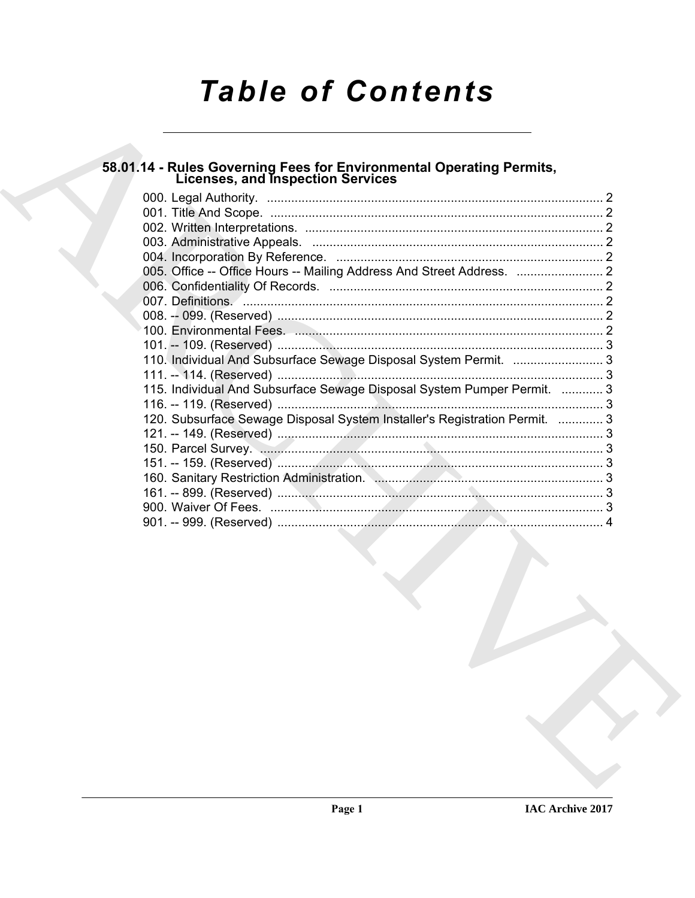# **Table of Contents**

## 58.01.14 - Rules Governing Fees for Environmental Operating Permits,<br>Licenses, and Inspection Services

| 110. Individual And Subsurface Sewage Disposal System Permit.  3           |  |
|----------------------------------------------------------------------------|--|
| 115. Individual And Subsurface Sewage Disposal System Pumper Permit.  3    |  |
|                                                                            |  |
| 120. Subsurface Sewage Disposal System Installer's Registration Permit.  3 |  |
|                                                                            |  |
|                                                                            |  |
|                                                                            |  |
|                                                                            |  |
|                                                                            |  |
|                                                                            |  |
|                                                                            |  |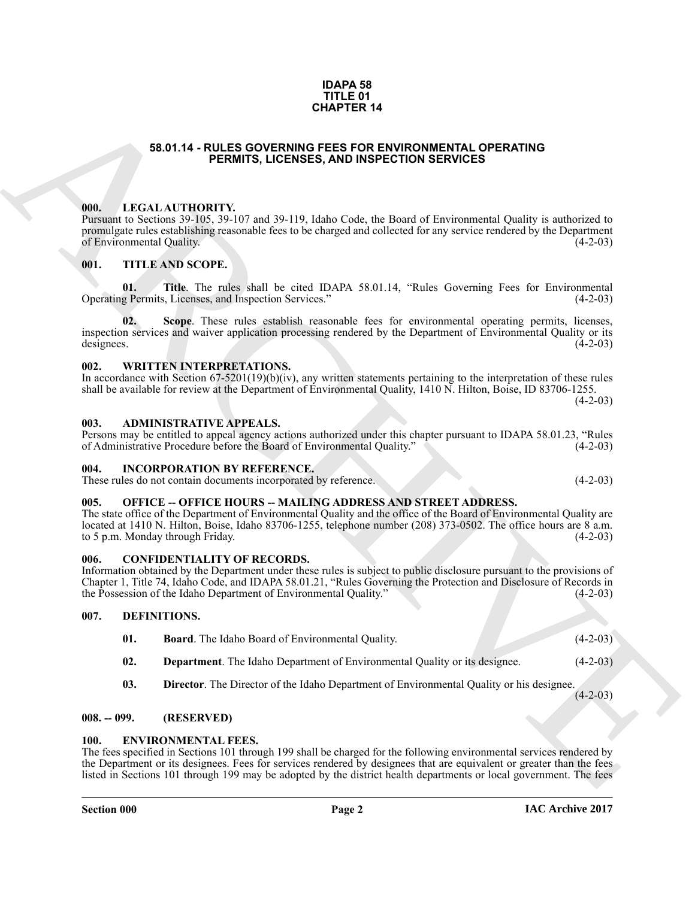#### **IDAPA 58 TITLE 01 CHAPTER 14**

#### **58.01.14 - RULES GOVERNING FEES FOR ENVIRONMENTAL OPERATING PERMITS, LICENSES, AND INSPECTION SERVICES**

#### <span id="page-1-1"></span><span id="page-1-0"></span>**000. LEGAL AUTHORITY.**

Pursuant to Sections 39-105, 39-107 and 39-119, Idaho Code, the Board of Environmental Quality is authorized to promulgate rules establishing reasonable fees to be charged and collected for any service rendered by the Department of Environmental Quality.

#### <span id="page-1-2"></span>**001. TITLE AND SCOPE.**

**01.** Title. The rules shall be cited IDAPA 58.01.14, "Rules Governing Fees for Environmental g Permits, Licenses, and Inspection Services." (4-2-03) Operating Permits, Licenses, and Inspection Services."

**S3.01.14 - RULES ODVERNIES 14**<br> **CHAPTER 14**<br> **CHAPTER ISSUES AND NORFRED ON SERVICES SERVICES CONTRACT CONTRACT CONTRACT CONTRACT CONTRACT CONTRACT CONTRACT CONTRACT CONTRACT CONTRACT CONTRACT CONTRACT CONTRACT CONTRACT 02. Scope**. These rules establish reasonable fees for environmental operating permits, licenses, inspection services and waiver application processing rendered by the Department of Environmental Quality or its designees. (4-2-03)

#### <span id="page-1-3"></span>**002. WRITTEN INTERPRETATIONS.**

In accordance with Section 67-5201(19)(b)(iv), any written statements pertaining to the interpretation of these rules shall be available for review at the Department of Environmental Quality, 1410 N. Hilton, Boise, ID 83706-1255.  $(4-2-03)$ 

#### <span id="page-1-4"></span>**003. ADMINISTRATIVE APPEALS.**

Persons may be entitled to appeal agency actions authorized under this chapter pursuant to IDAPA 58.01.23, "Rules of Administrative Procedure before the Board of Environmental Quality." (4-2-03)

#### <span id="page-1-5"></span>**004. INCORPORATION BY REFERENCE.**

These rules do not contain documents incorporated by reference. (4-2-03)

#### <span id="page-1-6"></span>005. OFFICE -- OFFICE HOURS -- MAILING ADDRESS AND STREET ADDRESS.

The state office of the Department of Environmental Quality and the office of the Board of Environmental Quality are located at 1410 N. Hilton, Boise, Idaho 83706-1255, telephone number (208) 373-0502. The office hours are 8 a.m. to 5 p.m. Monday through Friday. (4-2-03) to 5 p.m. Monday through Friday.

#### <span id="page-1-7"></span>**006. CONFIDENTIALITY OF RECORDS.**

Information obtained by the Department under these rules is subject to public disclosure pursuant to the provisions of Chapter 1, Title 74, Idaho Code, and IDAPA 58.01.21, "Rules Governing the Protection and Disclosure of Records in the Possession of the Idaho Department of Environmental Quality."

#### <span id="page-1-8"></span>**007. DEFINITIONS.**

- <span id="page-1-13"></span><span id="page-1-12"></span><span id="page-1-11"></span>**01. Board**. The Idaho Board of Environmental Quality. (4-2-03)
- **02. Department**. The Idaho Department of Environmental Quality or its designee. (4-2-03)
- <span id="page-1-14"></span>**03. Director**. The Director of the Idaho Department of Environmental Quality or his designee.

 $(4-2-03)$ 

#### <span id="page-1-9"></span>**008. -- 099. (RESERVED)**

#### <span id="page-1-15"></span><span id="page-1-10"></span>**100. ENVIRONMENTAL FEES.**

The fees specified in Sections 101 through 199 shall be charged for the following environmental services rendered by the Department or its designees. Fees for services rendered by designees that are equivalent or greater than the fees listed in Sections 101 through 199 may be adopted by the district health departments or local government. The fees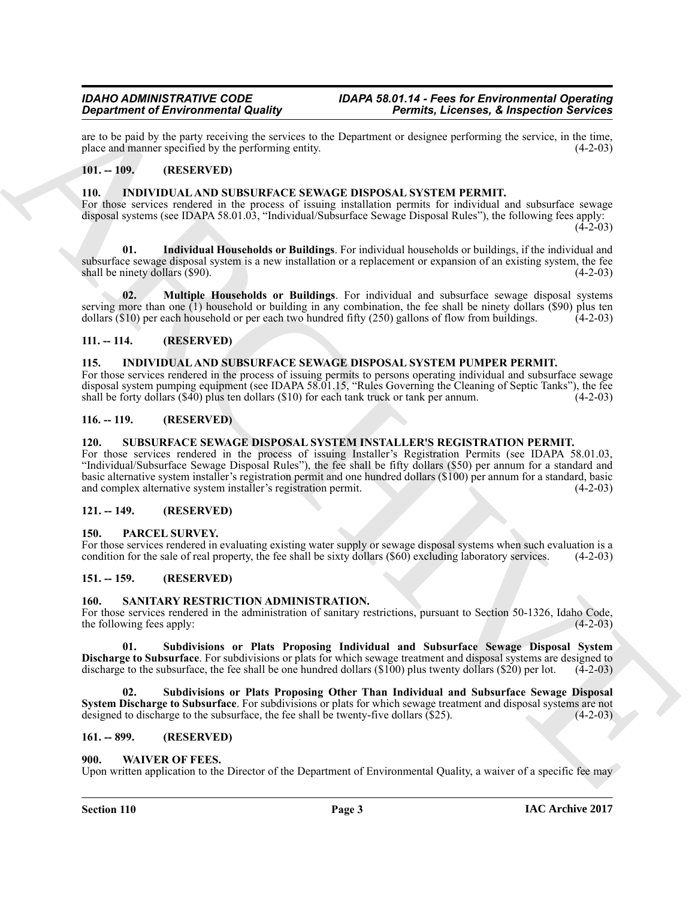are to be paid by the party receiving the services to the Department or designee performing the service, in the time, place and manner specified by the performing entity. (4-2-03) place and manner specified by the performing entity.

#### <span id="page-2-12"></span><span id="page-2-0"></span>**101. -- 109. (RESERVED)**

#### <span id="page-2-1"></span>**110. INDIVIDUAL AND SUBSURFACE SEWAGE DISPOSAL SYSTEM PERMIT.**

For those services rendered in the process of issuing installation permits for individual and subsurface sewage disposal systems (see IDAPA 58.01.03, "Individual/Subsurface Sewage Disposal Rules"), the following fees apply:

 $(4-2-03)$ 

<span id="page-2-13"></span>**01. Individual Households or Buildings**. For individual households or buildings, if the individual and subsurface sewage disposal system is a new installation or a replacement or expansion of an existing system, the fee<br>shall be ninety dollars (\$90). shall be ninety dollars  $(\$90)$ .

<span id="page-2-14"></span>**02. Multiple Households or Buildings**. For individual and subsurface sewage disposal systems serving more than one (1) household or building in any combination, the fee shall be ninety dollars (\$90) plus ten dollars (\$10) per each household or per each two hundred fifty (250) gallons of flow from buildings. (4-2dollars ( $$10$ ) per each household or per each two hundred fifty ( $250$ ) gallons of flow from buildings.

#### <span id="page-2-2"></span>**111. -- 114. (RESERVED)**

#### <span id="page-2-15"></span><span id="page-2-3"></span>**115. INDIVIDUAL AND SUBSURFACE SEWAGE DISPOSAL SYSTEM PUMPER PERMIT.**

For those services rendered in the process of issuing permits to persons operating individual and subsurface sewage disposal system pumping equipment (see IDAPA 58.01.15, "Rules Governing the Cleaning of Septic Tanks"), the fee shall be forty dollars (\$40) plus ten dollars (\$10) for each tank truck or tank per annum. (4-2-03) shall be forty dollars  $(\$40)$  plus ten dollars  $(\$10)$  for each tank truck or tank per annum.

#### <span id="page-2-4"></span>**116. -- 119. (RESERVED)**

#### <span id="page-2-20"></span><span id="page-2-5"></span>**120. SUBSURFACE SEWAGE DISPOSAL SYSTEM INSTALLER'S REGISTRATION PERMIT.**

**Experiment of Environmental Guaranty 10.** Research 10. Experiment of the system and the system and the system and the system and the system and the system and the system and the system and the system and the system and t For those services rendered in the process of issuing Installer's Registration Permits (see IDAPA 58.01.03, "Individual/Subsurface Sewage Disposal Rules"), the fee shall be fifty dollars (\$50) per annum for a standard and basic alternative system installer's registration permit and one hundred dollars (\$100) per annum for a standard, basic and complex alternative system installer's registration permit.

#### <span id="page-2-6"></span>**121. -- 149. (RESERVED)**

#### <span id="page-2-16"></span><span id="page-2-7"></span>**150. PARCEL SURVEY.**

For those services rendered in evaluating existing water supply or sewage disposal systems when such evaluation is a condition for the sale of real property, the fee shall be sixty dollars (\$60) excluding laboratory servic condition for the sale of real property, the fee shall be sixty dollars (\$60) excluding laboratory services.

#### <span id="page-2-8"></span>**151. -- 159. (RESERVED)**

#### <span id="page-2-17"></span><span id="page-2-9"></span>**160. SANITARY RESTRICTION ADMINISTRATION.**

For those services rendered in the administration of sanitary restrictions, pursuant to Section 50-1326, Idaho Code, the following fees apply: (4-2-03) the following fees apply:

<span id="page-2-18"></span>**01. Subdivisions or Plats Proposing Individual and Subsurface Sewage Disposal System Discharge to Subsurface**. For subdivisions or plats for which sewage treatment and disposal systems are designed to discharge to the subsurface, the fee shall be one hundred dollars (\$100) plus twenty dollars (\$20) per lot. (4-2-03)

<span id="page-2-19"></span>**02. Subdivisions or Plats Proposing Other Than Individual and Subsurface Sewage Disposal System Discharge to Subsurface**. For subdivisions or plats for which sewage treatment and disposal systems are not designed to discharge to the subsurface, the fee shall be twenty-five dollars (\$25). (4-2-03)

#### <span id="page-2-10"></span>**161. -- 899. (RESERVED)**

#### <span id="page-2-21"></span><span id="page-2-11"></span>**900. WAIVER OF FEES.**

Upon written application to the Director of the Department of Environmental Quality, a waiver of a specific fee may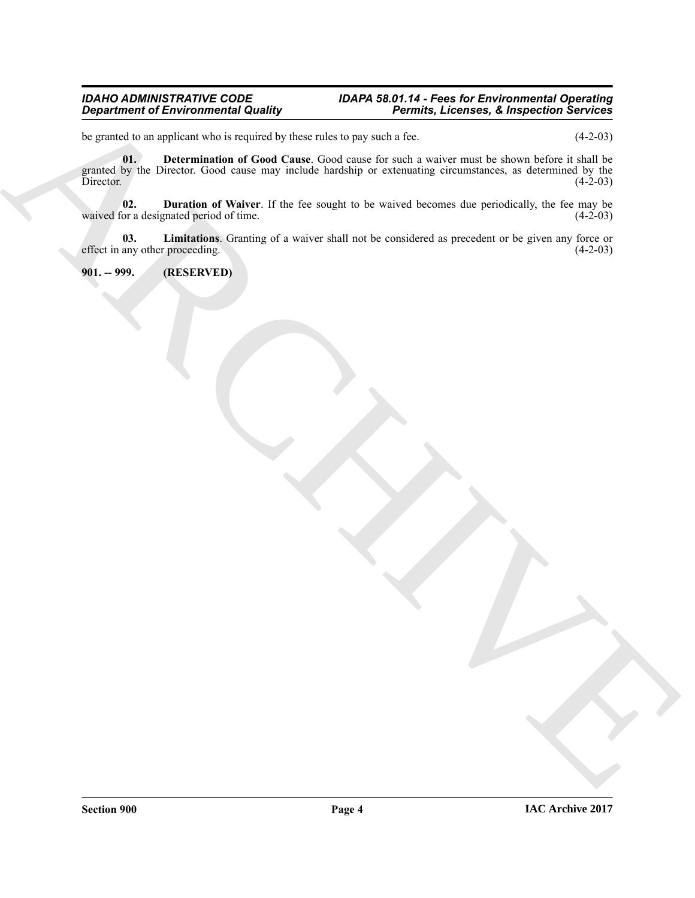#### *IDAHO ADMINISTRATIVE CODE IDAPA 58.01.14 - Fees for Environmental Operating Department of Environmental Quality Permits, Licenses, & Inspection Services*

<span id="page-3-1"></span>be granted to an applicant who is required by these rules to pay such a fee. (4-2-03)

 $\frac{1}{2}$  Control of the complete the state of the state of the state of the state of the state of the state of the state of the state of the state of the state of the state of the state of the state of the state of the s **01. Determination of Good Cause**. Good cause for such a waiver must be shown before it shall be granted by the Director. Good cause may include hardship or extenuating circumstances, as determined by the Director. (4-2-03)

<span id="page-3-2"></span>**02. Duration of Waiver**. If the fee sought to be waived becomes due periodically, the fee may be or a designated period of time. (4-2-03) waived for a designated period of time.

<span id="page-3-3"></span>**03.** Limitations. Granting of a waiver shall not be considered as precedent or be given any force or any other proceeding. (4-2-03) effect in any other proceeding.

<span id="page-3-0"></span>**901. -- 999. (RESERVED)**